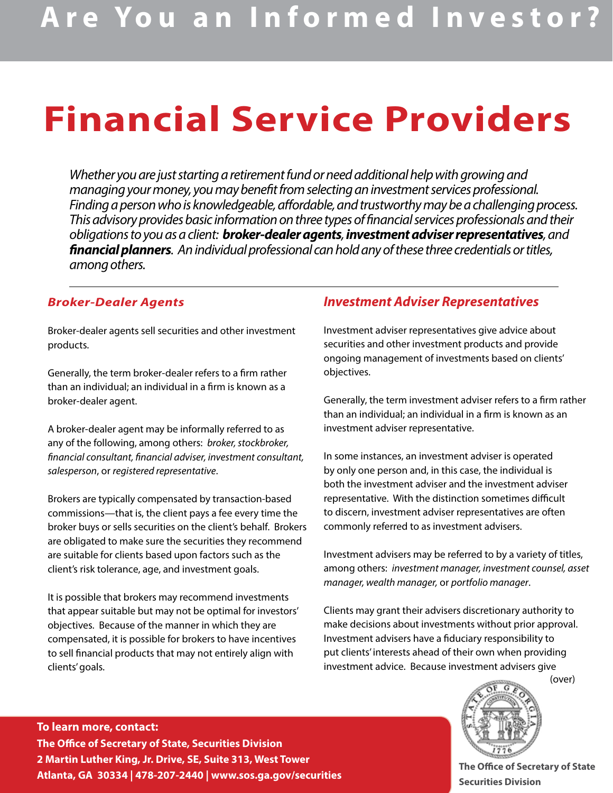# **Financial Service Providers**

*Whether you are just starting a retirement fund or need additional help with growing and managing your money, you may benefit from selecting an investment services professional. Finding a person who is knowledgeable, affordable, and trustworthy may be a challenging process. This advisory provides basic information on three types of financial services professionals and their obligations to you as a client: broker-dealer agents, investment adviser representatives, and financial planners. An individual professional can hold any of these three credentials or titles, among others.* 

#### *Broker-Dealer Agents*

Broker-dealer agents sell securities and other investment products.

Generally, the term broker-dealer refers to a firm rather than an individual; an individual in a firm is known as a broker-dealer agent.

A broker-dealer agent may be informally referred to as any of the following, among others: *broker, stockbroker, financial consultant, financial adviser, investment consultant, salesperson*, or *registered representative*.

Brokers are typically compensated by transaction-based commissions—that is, the client pays a fee every time the broker buys or sells securities on the client's behalf. Brokers are obligated to make sure the securities they recommend are suitable for clients based upon factors such as the client's risk tolerance, age, and investment goals.

It is possible that brokers may recommend investments that appear suitable but may not be optimal for investors' objectives. Because of the manner in which they are compensated, it is possible for brokers to have incentives to sell financial products that may not entirely align with clients' goals.

### *Investment Adviser Representatives*

Investment adviser representatives give advice about securities and other investment products and provide ongoing management of investments based on clients' objectives.

Generally, the term investment adviser refers to a firm rather than an individual; an individual in a firm is known as an investment adviser representative.

In some instances, an investment adviser is operated by only one person and, in this case, the individual is both the investment adviser and the investment adviser representative. With the distinction sometimes difficult to discern, investment adviser representatives are often commonly referred to as investment advisers.

Investment advisers may be referred to by a variety of titles, among others: *investment manager, investment counsel, asset manager, wealth manager,* or *portfolio manager*.

Clients may grant their advisers discretionary authority to make decisions about investments without prior approval. Investment advisers have a fiduciary responsibility to put clients' interests ahead of their own when providing investment advice. Because investment advisers give

### **To learn more, contact: The Office of Secretary of State, Securities Division 2 Martin Luther King, Jr. Drive, SE, Suite 313, West Tower Atlanta, GA 30334 | 478-207-2440 | www.sos.ga.gov/securities The Office of Secretary of State**



**Securities Division**